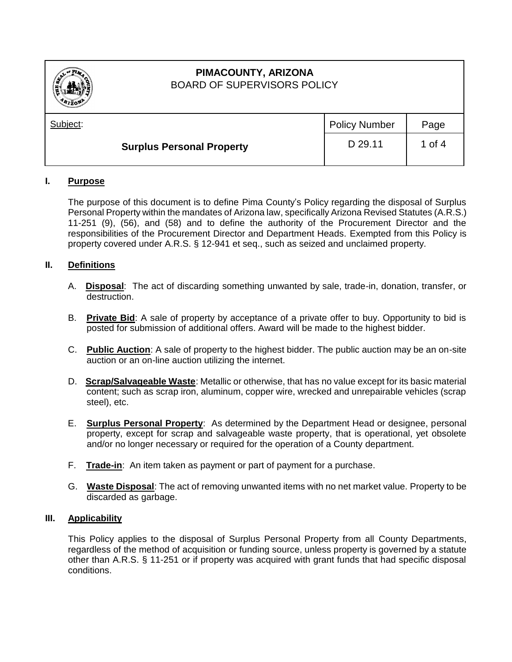

# **PIMACOUNTY, ARIZONA** BOARD OF SUPERVISORS POLICY

| . <i>. .</i>                     |                      |          |
|----------------------------------|----------------------|----------|
| Subject:                         | <b>Policy Number</b> | Page     |
| <b>Surplus Personal Property</b> | D 29.11              | 1 of $4$ |

## **I. Purpose**

The purpose of this document is to define Pima County's Policy regarding the disposal of Surplus Personal Property within the mandates of Arizona law, specifically Arizona Revised Statutes (A.R.S.) 11-251 (9), (56), and (58) and to define the authority of the Procurement Director and the responsibilities of the Procurement Director and Department Heads. Exempted from this Policy is property covered under A.R.S. § 12-941 et seq., such as seized and unclaimed property.

## **II. Definitions**

- A. **Disposal**: The act of discarding something unwanted by sale, trade-in, donation, transfer, or destruction.
- B. **Private Bid**: A sale of property by acceptance of a private offer to buy. Opportunity to bid is posted for submission of additional offers. Award will be made to the highest bidder.
- C. **Public Auction**: A sale of property to the highest bidder. The public auction may be an on-site auction or an on-line auction utilizing the internet.
- D. **Scrap/Salvageable Waste**: Metallic or otherwise, that has no value except for its basic material content; such as scrap iron, aluminum, copper wire, wrecked and unrepairable vehicles (scrap steel), etc.
- E. **Surplus Personal Property**: As determined by the Department Head or designee, personal property, except for scrap and salvageable waste property, that is operational, yet obsolete and/or no longer necessary or required for the operation of a County department.
- F. **Trade-in**: An item taken as payment or part of payment for a purchase.
- G. **Waste Disposal**: The act of removing unwanted items with no net market value. Property to be discarded as garbage.

#### **III. Applicability**

This Policy applies to the disposal of Surplus Personal Property from all County Departments, regardless of the method of acquisition or funding source, unless property is governed by a statute other than A.R.S. § 11-251 or if property was acquired with grant funds that had specific disposal conditions.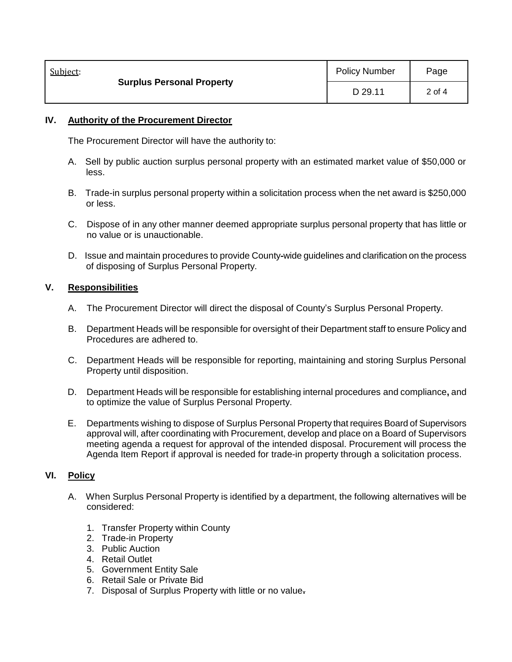| Subject:                         | <b>Policy Number</b> | Page   |
|----------------------------------|----------------------|--------|
| <b>Surplus Personal Property</b> | D 29.11              | 2 of 4 |

#### **IV. Authority of the Procurement Director**

The Procurement Director will have the authority to:

- A. Sell by public auction surplus personal property with an estimated market value of \$50,000 or less.
- B. Trade-in surplus personal property within a solicitation process when the net award is \$250,000 or less.
- C. Dispose of in any other manner deemed appropriate surplus personal property that has little or no value or is unauctionable.
- D. Issue and maintain procedures to provide County-wide guidelines and clarification on the process of disposing of Surplus Personal Property.

## **V. Responsibilities**

- A. The Procurement Director will direct the disposal of County's Surplus Personal Property.
- B. Department Heads will be responsible for oversight of their Department staff to ensure Policy and Procedures are adhered to.
- C. Department Heads will be responsible for reporting, maintaining and storing Surplus Personal Property until disposition.
- D. Department Heads will be responsible for establishing internal procedures and compliance**,** and to optimize the value of Surplus Personal Property.
- E. Departments wishing to dispose of Surplus Personal Property that requires Board of Supervisors approval will, after coordinating with Procurement, develop and place on a Board of Supervisors meeting agenda a request for approval of the intended disposal. Procurement will process the Agenda Item Report if approval is needed for trade-in property through a solicitation process.

## **VI. Policy**

- A. When Surplus Personal Property is identified by a department, the following alternatives will be considered:
	- 1. Transfer Property within County
	- 2. Trade-in Property
	- 3. Public Auction
	- 4. Retail Outlet
	- 5. Government Entity Sale
	- 6. Retail Sale or Private Bid
	- 7. Disposal of Surplus Property with little or no value**.**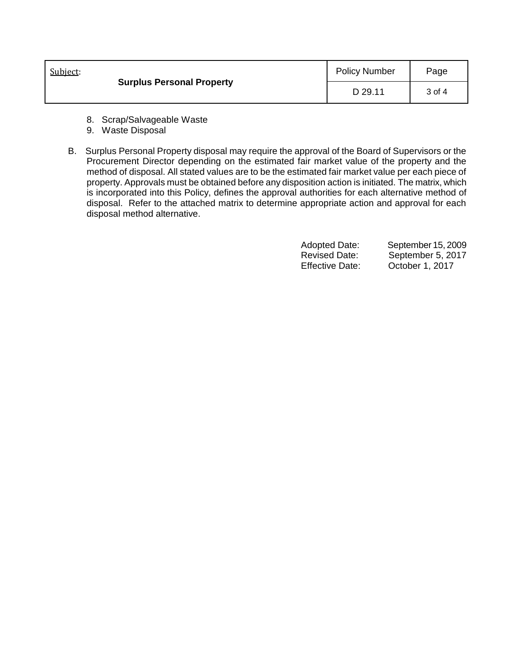| Subject: | <b>Surplus Personal Property</b> | <b>Policy Number</b> | Page   |
|----------|----------------------------------|----------------------|--------|
|          |                                  | D 29.11              | 3 of 4 |

- 8. Scrap/Salvageable Waste
- 9.Waste Disposal
- B. Surplus Personal Property disposal may require the approval of the Board of Supervisors or the Procurement Director depending on the estimated fair market value of the property and the method of disposal. All stated values are to be the estimated fair market value per each piece of property. Approvals must be obtained before any disposition action is initiated. The matrix, which is incorporated into this Policy, defines the approval authorities for each alternative method of disposal. Refer to the attached matrix to determine appropriate action and approval for each disposal method alternative.

| <b>Adopted Date:</b>   | September 15, 2009 |
|------------------------|--------------------|
| <b>Revised Date:</b>   | September 5, 2017  |
| <b>Effective Date:</b> | October 1, 2017    |